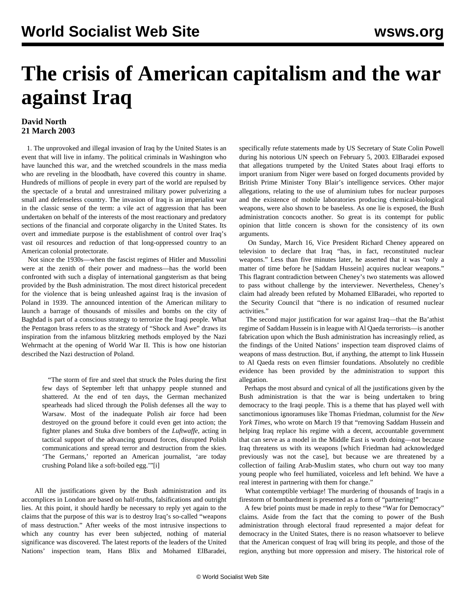## **The crisis of American capitalism and the war against Iraq**

## **David North 21 March 2003**

 1. The unprovoked and illegal invasion of Iraq by the United States is an event that will live in infamy. The political criminals in Washington who have launched this war, and the wretched scoundrels in the mass media who are reveling in the bloodbath, have covered this country in shame. Hundreds of millions of people in every part of the world are repulsed by the spectacle of a brutal and unrestrained military power pulverizing a small and defenseless country. The invasion of Iraq is an imperialist war in the classic sense of the term: a vile act of aggression that has been undertaken on behalf of the interests of the most reactionary and predatory sections of the financial and corporate oligarchy in the United States. Its overt and immediate purpose is the establishment of control over Iraq's vast oil resources and reduction of that long-oppressed country to an American colonial protectorate.

 Not since the 1930s—when the fascist regimes of Hitler and Mussolini were at the zenith of their power and madness—has the world been confronted with such a display of international gangsterism as that being provided by the Bush administration. The most direct historical precedent for the violence that is being unleashed against Iraq is the invasion of Poland in 1939. The announced intention of the American military to launch a barrage of thousands of missiles and bombs on the city of Baghdad is part of a conscious strategy to terrorize the Iraqi people. What the Pentagon brass refers to as the strategy of "Shock and Awe" draws its inspiration from the infamous blitzkrieg methods employed by the Nazi Wehrmacht at the opening of World War II. This is how one historian described the Nazi destruction of Poland.

 "The storm of fire and steel that struck the Poles during the first few days of September left that unhappy people stunned and shattered. At the end of ten days, the German mechanized spearheads had sliced through the Polish defenses all the way to Warsaw. Most of the inadequate Polish air force had been destroyed on the ground before it could even get into action; the fighter planes and Stuka dive bombers of the *Luftwaffe*, acting in tactical support of the advancing ground forces, disrupted Polish communications and spread terror and destruction from the skies. 'The Germans,' reported an American journalist, 'are today crushing Poland like a soft-boiled egg.'"[i]

 All the justifications given by the Bush administration and its accomplices in London are based on half-truths, falsifications and outright lies. At this point, it should hardly be necessary to reply yet again to the claims that the purpose of this war is to destroy Iraq's so-called "weapons of mass destruction." After weeks of the most intrusive inspections to which any country has ever been subjected, nothing of material significance was discovered. The latest reports of the leaders of the United Nations' inspection team, Hans Blix and Mohamed ElBaradei,

specifically refute statements made by US Secretary of State Colin Powell during his notorious UN speech on February 5, 2003. ElBaradei exposed that allegations trumpeted by the United States about Iraqi efforts to import uranium from Niger were based on forged documents provided by British Prime Minister Tony Blair's intelligence services. Other major allegations, relating to the use of aluminium tubes for nuclear purposes and the existence of mobile laboratories producing chemical-biological weapons, were also shown to be baseless. As one lie is exposed, the Bush administration concocts another. So great is its contempt for public opinion that little concern is shown for the consistency of its own arguments.

 On Sunday, March 16, Vice President Richard Cheney appeared on television to declare that Iraq "has, in fact, reconstituted nuclear weapons." Less than five minutes later, he asserted that it was "only a matter of time before he [Saddam Hussein] acquires nuclear weapons." This flagrant contradiction between Cheney's two statements was allowed to pass without challenge by the interviewer. Nevertheless, Cheney's claim had already been refuted by Mohamed ElBaradei, who reported to the Security Council that "there is no indication of resumed nuclear activities."

 The second major justification for war against Iraq—that the Ba'athist regime of Saddam Hussein is in league with Al Qaeda terrorists—is another fabrication upon which the Bush administration has increasingly relied, as the findings of the United Nations' inspection team disproved claims of weapons of mass destruction. But, if anything, the attempt to link Hussein to Al Qaeda rests on even flimsier foundations. Absolutely no credible evidence has been provided by the administration to support this allegation.

 Perhaps the most absurd and cynical of all the justifications given by the Bush administration is that the war is being undertaken to bring democracy to the Iraqi people. This is a theme that has played well with sanctimonious ignoramuses like Thomas Friedman, columnist for the *New York Times*, who wrote on March 19 that "removing Saddam Hussein and helping Iraq replace his regime with a decent, accountable government that can serve as a model in the Middle East is worth doing—not because Iraq threatens us with its weapons [which Friedman had acknowledged previously was not the case], but because we are threatened by a collection of failing Arab-Muslim states, who churn out way too many young people who feel humiliated, voiceless and left behind. We have a real interest in partnering with them for change."

 What contemptible verbiage! The murdering of thousands of Iraqis in a firestorm of bombardment is presented as a form of "partnering!"

 A few brief points must be made in reply to these "War for Democracy" claims. Aside from the fact that the coming to power of the Bush administration through electoral fraud represented a major defeat for democracy in the United States, there is no reason whatsoever to believe that the American conquest of Iraq will bring its people, and those of the region, anything but more oppression and misery. The historical role of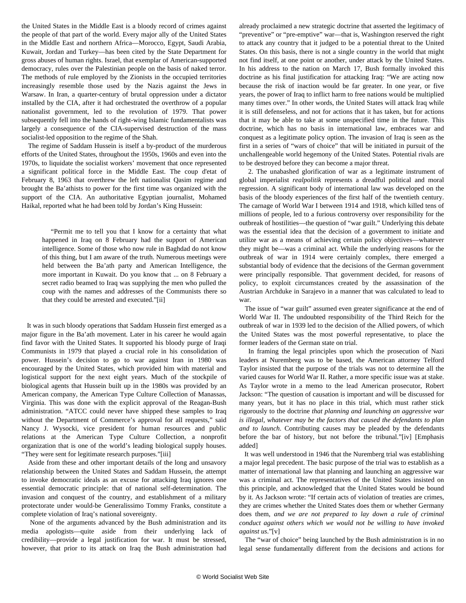the United States in the Middle East is a bloody record of crimes against the people of that part of the world. Every major ally of the United States in the Middle East and northern Africa—Morocco, Egypt, Saudi Arabia, Kuwait, Jordan and Turkey—has been cited by the State Department for gross abuses of human rights. Israel, that exemplar of American-supported democracy, rules over the Palestinian people on the basis of naked terror. The methods of rule employed by the Zionists in the occupied territories increasingly resemble those used by the Nazis against the Jews in Warsaw. In Iran, a quarter-century of brutal oppression under a dictator installed by the CIA, after it had orchestrated the overthrow of a popular nationalist government, led to the revolution of 1979. That power subsequently fell into the hands of right-wing Islamic fundamentalists was largely a consequence of the CIA-supervised destruction of the mass socialist-led opposition to the regime of the Shah.

 The regime of Saddam Hussein is itself a by-product of the murderous efforts of the United States, throughout the 1950s, 1960s and even into the 1970s, to liquidate the socialist workers' movement that once represented a significant political force in the Middle East. The coup d'etat of February 8, 1963 that overthrew the left nationalist Qasim regime and brought the Ba'athists to power for the first time was organized with the support of the CIA. An authoritative Egyptian journalist, Mohamed Haikal, reported what he had been told by Jordan's King Hussein:

 "Permit me to tell you that I know for a certainty that what happened in Iraq on 8 February had the support of American intelligence. Some of those who now rule in Baghdad do not know of this thing, but I am aware of the truth. Numerous meetings were held between the Ba'ath party and American Intelligence, the more important in Kuwait. Do you know that ... on 8 February a secret radio beamed to Iraq was supplying the men who pulled the coup with the names and addresses of the Communists there so that they could be arrested and executed."[ii]

 It was in such bloody operations that Saddam Hussein first emerged as a major figure in the Ba'ath movement. Later in his career he would again find favor with the United States. It supported his bloody purge of Iraqi Communists in 1979 that played a crucial role in his consolidation of power. Hussein's decision to go to war against Iran in 1980 was encouraged by the United States, which provided him with material and logistical support for the next eight years. Much of the stockpile of biological agents that Hussein built up in the 1980s was provided by an American company, the American Type Culture Collection of Manassas, Virginia. This was done with the explicit approval of the Reagan-Bush administration. "ATCC could never have shipped these samples to Iraq without the Department of Commerce's approval for all requests," said Nancy J. Wysocki, vice president for human resources and public relations at the American Type Culture Collection, a nonprofit organization that is one of the world's leading biological supply houses. "They were sent for legitimate research purposes."[iii]

 Aside from these and other important details of the long and unsavory relationship between the United States and Saddam Hussein, the attempt to invoke democratic ideals as an excuse for attacking Iraq ignores one essential democratic principle: that of national self-determination. The invasion and conquest of the country, and establishment of a military protectorate under would-be Generalissimo Tommy Franks, constitute a complete violation of Iraq's national sovereignty.

 None of the arguments advanced by the Bush administration and its media apologists—quite aside from their underlying lack of credibility—provide a legal justification for war. It must be stressed, however, that prior to its attack on Iraq the Bush administration had already proclaimed a new strategic doctrine that asserted the legitimacy of "preventive" or "pre-emptive" war—that is, Washington reserved the right to attack any country that it judged to be a potential threat to the United States. On this basis, there is not a single country in the world that might not find itself, at one point or another, under attack by the United States. In his address to the nation on March 17, Bush formally invoked this doctrine as his final justification for attacking Iraq: "We are acting now because the risk of inaction would be far greater. In one year, or five years, the power of Iraq to inflict harm to free nations would be multiplied many times over." In other words, the United States will attack Iraq while it is still defenseless, and not for actions that it has taken, but for actions that it may be able to take at some unspecified time in the future. This doctrine, which has no basis in international law, embraces war and conquest as a legitimate policy option. The invasion of Iraq is seen as the first in a series of "wars of choice" that will be initiated in pursuit of the unchallengeable world hegemony of the United States. Potential rivals are to be destroyed before they can become a major threat.

 2. The unabashed glorification of war as a legitimate instrument of global imperialist *realpolitik* represents a dreadful political and moral regression. A significant body of international law was developed on the basis of the bloody experiences of the first half of the twentieth century. The carnage of World War I between 1914 and 1918, which killed tens of millions of people, led to a furious controversy over responsibility for the outbreak of hostilities—the question of "war guilt." Underlying this debate was the essential idea that the decision of a government to initiate and utilize war as a means of achieving certain policy objectives—whatever they might be—was a criminal act. While the underlying reasons for the outbreak of war in 1914 were certainly complex, there emerged a substantial body of evidence that the decisions of the German government were principally responsible. That government decided, for reasons of policy, to exploit circumstances created by the assassination of the Austrian Archduke in Sarajevo in a manner that was calculated to lead to war.

 The issue of "war guilt" assumed even greater significance at the end of World War II. The undoubted responsibility of the Third Reich for the outbreak of war in 1939 led to the decision of the Allied powers, of which the United States was the most powerful representative, to place the former leaders of the German state on trial.

 In framing the legal principles upon which the prosecution of Nazi leaders at Nuremberg was to be based, the American attorney Telford Taylor insisted that the purpose of the trials was not to determine all the varied causes for World War II. Rather, a more specific issue was at stake. As Taylor wrote in a memo to the lead American prosecutor, Robert Jackson: "The question of causation is important and will be discussed for many years, but it has no place in this trial, which must rather stick rigorously to the doctrine *that planning and launching an aggressive war is illegal, whatever may be the factors that caused the defendants to plan and to launch*. Contributing causes may be pleaded by the defendants before the bar of history, but not before the tribunal."[iv] [Emphasis added]

 It was well understood in 1946 that the Nuremberg trial was establishing a major legal precedent. The basic purpose of the trial was to establish as a matter of international law that planning and launching an aggressive war was a criminal act. The representatives of the United States insisted on this principle, and acknowledged that the United States would be bound by it. As Jackson wrote: "If certain acts of violation of treaties are crimes, they are crimes whether the United States does them or whether Germany does them, *and we are not prepared to lay down a rule of criminal conduct against others which we would not be willing to have invoked against us*."[v]

 The "war of choice" being launched by the Bush administration is in no legal sense fundamentally different from the decisions and actions for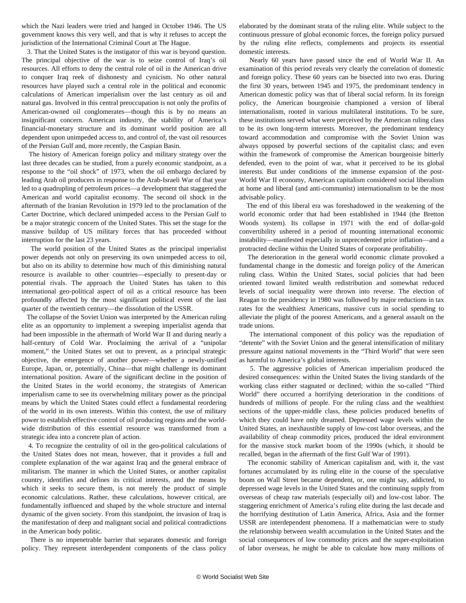which the Nazi leaders were tried and hanged in October 1946. The US government knows this very well, and that is why it refuses to accept the jurisdiction of the International Criminal Court at The Hague.

 3. That the United States is the instigator of this war is beyond question. The principal objective of the war is to seize control of Iraq's oil resources. All efforts to deny the central role of oil in the American drive to conquer Iraq reek of dishonesty and cynicism. No other natural resources have played such a central role in the political and economic calculations of American imperialism over the last century as oil and natural gas. Involved in this central preoccupation is not only the profits of American-owned oil conglomerates—though this is by no means an insignificant concern. American industry, the stability of America's financial-monetary structure and its dominant world position are all dependent upon unimpeded access to, and control of, the vast oil resources of the Persian Gulf and, more recently, the Caspian Basin.

 The history of American foreign policy and military strategy over the last three decades can be studied, from a purely economic standpoint, as a response to the "oil shock" of 1973, when the oil embargo declared by leading Arab oil producers in response to the Arab-Israeli War of that year led to a quadrupling of petroleum prices—a development that staggered the American and world capitalist economy. The second oil shock in the aftermath of the Iranian Revolution in 1979 led to the proclamation of the Carter Doctrine, which declared unimpeded access to the Persian Gulf to be a major strategic concern of the United States. This set the stage for the massive buildup of US military forces that has proceeded without interruption for the last 23 years.

 The world position of the United States as the principal imperialist power depends not only on preserving its own unimpeded access to oil, but also on its ability to determine how much of this diminishing natural resource is available to other countries—especially to present-day or potential rivals. The approach the United States has taken to this international geo-political aspect of oil as a critical resource has been profoundly affected by the most significant political event of the last quarter of the twentieth century—the dissolution of the USSR.

 The collapse of the Soviet Union was interpreted by the American ruling elite as an opportunity to implement a sweeping imperialist agenda that had been impossible in the aftermath of World War II and during nearly a half-century of Cold War. Proclaiming the arrival of a "unipolar moment," the United States set out to prevent, as a principal strategic objective, the emergence of another power—whether a newly-unified Europe, Japan, or, potentially, China—that might challenge its dominant international position. Aware of the significant decline in the position of the United States in the world economy, the strategists of American imperialism came to see its overwhelming military power as the principal means by which the United States could effect a fundamental reordering of the world in its own interests. Within this context, the use of military power to establish effective control of oil producing regions and the worldwide distribution of this essential resource was transformed from a strategic idea into a concrete plan of action.

 4. To recognize the centrality of oil in the geo-political calculations of the United States does not mean, however, that it provides a full and complete explanation of the war against Iraq and the general embrace of militarism. The manner in which the United States, or another capitalist country, identifies and defines its critical interests, and the means by which it seeks to secure them, is not merely the product of simple economic calculations. Rather, these calculations, however critical, are fundamentally influenced and shaped by the whole structure and internal dynamic of the given society. From this standpoint, the invasion of Iraq is the manifestation of deep and malignant social and political contradictions in the American body politic.

 There is no impenetrable barrier that separates domestic and foreign policy. They represent interdependent components of the class policy

elaborated by the dominant strata of the ruling elite. While subject to the continuous pressure of global economic forces, the foreign policy pursued by the ruling elite reflects, complements and projects its essential domestic interests.

 Nearly 60 years have passed since the end of World War II. An examination of this period reveals very clearly the correlation of domestic and foreign policy. These 60 years can be bisected into two eras. During the first 30 years, between 1945 and 1975, the predominant tendency in American domestic policy was that of liberal social reform. In its foreign policy, the American bourgeoisie championed a version of liberal internationalism, rooted in various multilateral institutions. To be sure, these institutions served what were perceived by the American ruling class to be its own long-term interests. Moreover, the predominant tendency toward accommodation and compromise with the Soviet Union was always opposed by powerful sections of the capitalist class; and even within the framework of compromise the American bourgeoisie bitterly defended, even to the point of war, what it perceived to be its global interests. But under conditions of the immense expansion of the post-World War II economy, American capitalism considered social liberalism at home and liberal (and anti-communist) internationalism to be the most advisable policy.

 The end of this liberal era was foreshadowed in the weakening of the world economic order that had been established in 1944 (the Bretton Woods system). Its collapse in 1971 with the end of dollar-gold convertibility ushered in a period of mounting international economic instability—manifested especially in unprecedented price inflation—and a protracted decline within the United States of corporate profitability.

 The deterioration in the general world economic climate provoked a fundamental change in the domestic and foreign policy of the American ruling class. Within the United States, social policies that had been oriented toward limited wealth redistribution and somewhat reduced levels of social inequality were thrown into reverse. The election of Reagan to the presidency in 1980 was followed by major reductions in tax rates for the wealthiest Americans, massive cuts in social spending to alleviate the plight of the poorest Americans, and a general assault on the trade unions.

 The international component of this policy was the repudiation of "detente" with the Soviet Union and the general intensification of military pressure against national movements in the "Third World" that were seen as harmful to America's global interests.

 5. The aggressive policies of American imperialism produced the desired consequences: within the United States the living standards of the working class either stagnated or declined; within the so-called "Third World" there occurred a horrifying deterioration in the conditions of hundreds of millions of people. For the ruling class and the wealthiest sections of the upper-middle class, these policies produced benefits of which they could have only dreamed. Depressed wage levels within the United States, an inexhaustible supply of low-cost labor overseas, and the availability of cheap commodity prices, produced the ideal environment for the massive stock market boom of the 1990s (which, it should be recalled, began in the aftermath of the first Gulf War of 1991).

 The economic stability of American capitalism and, with it, the vast fortunes accumulated by its ruling elite in the course of the speculative boom on Wall Street became dependent, or, one might say, addicted, to depressed wage levels in the United States and the continuing supply from overseas of cheap raw materials (especially oil) and low-cost labor. The staggering enrichment of America's ruling elite during the last decade and the horrifying destitution of Latin America, Africa, Asia and the former USSR are interdependent phenomena. If a mathematician were to study the relationship between wealth accumulation in the United States and the social consequences of low commodity prices and the super-exploitation of labor overseas, he might be able to calculate how many millions of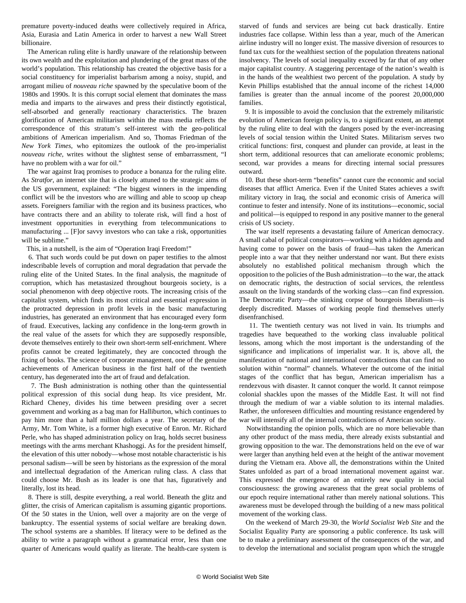premature poverty-induced deaths were collectively required in Africa, Asia, Eurasia and Latin America in order to harvest a new Wall Street billionaire.

 The American ruling elite is hardly unaware of the relationship between its own wealth and the exploitation and plundering of the great mass of the world's population. This relationship has created the objective basis for a social constituency for imperialist barbarism among a noisy, stupid, and arrogant milieu of *nouveau riche* spawned by the speculative boom of the 1980s and 1990s. It is this corrupt social element that dominates the mass media and imparts to the airwaves and press their distinctly egotistical, self-absorbed and generally reactionary characteristics. The brazen glorification of American militarism within the mass media reflects the correspondence of this stratum's self-interest with the geo-political ambitions of American imperialism. And so, Thomas Friedman of the *New York Times*, who epitomizes the outlook of the pro-imperialist *nouveau riche*, writes without the slightest sense of embarrassment, "I have no problem with a war for oil."

 The war against Iraq promises to produce a bonanza for the ruling elite. As *Stratfor*, an internet site that is closely attuned to the strategic aims of the US government, explained: "The biggest winners in the impending conflict will be the investors who are willing and able to scoop up cheap assets. Foreigners familiar with the region and its business practices, who have contracts there and an ability to tolerate risk, will find a host of investment opportunities in everything from telecommunications to manufacturing ... [F]or savvy investors who can take a risk, opportunities will be sublime."

This, in a nutshell, is the aim of "Operation Iraqi Freedom!"

 6. That such words could be put down on paper testifies to the almost indescribable levels of corruption and moral degradation that pervade the ruling elite of the United States. In the final analysis, the magnitude of corruption, which has metastasized throughout bourgeois society, is a social phenomenon with deep objective roots. The increasing crisis of the capitalist system, which finds its most critical and essential expression in the protracted depression in profit levels in the basic manufacturing industries, has generated an environment that has encouraged every form of fraud. Executives, lacking any confidence in the long-term growth in the real value of the assets for which they are supposedly responsible, devote themselves entirely to their own short-term self-enrichment. Where profits cannot be created legitimately, they are concocted through the fixing of books. The science of corporate management, one of the genuine achievements of American business in the first half of the twentieth century, has degenerated into the art of fraud and defalcation.

 7. The Bush administration is nothing other than the quintessential political expression of this social dung heap. Its vice president, Mr. Richard Cheney, divides his time between presiding over a secret government and working as a bag man for Halliburton, which continues to pay him more than a half million dollars a year. The secretary of the Army, Mr. Tom White, is a former high executive of Enron. Mr. Richard Perle, who has shaped administration policy on Iraq, holds secret business meetings with the arms merchant Khashoggi. As for the president himself, the elevation of this utter nobody—whose most notable characteristic is his personal sadism—will be seen by historians as the expression of the moral and intellectual degradation of the American ruling class. A class that could choose Mr. Bush as its leader is one that has, figuratively and literally, lost its head.

 8. There is still, despite everything, a real world. Beneath the glitz and glitter, the crisis of American capitalism is assuming gigantic proportions. Of the 50 states in the Union, well over a majority are on the verge of bankruptcy. The essential systems of social welfare are breaking down. The school systems are a shambles. If literacy were to be defined as the ability to write a paragraph without a grammatical error, less than one quarter of Americans would qualify as literate. The health-care system is

starved of funds and services are being cut back drastically. Entire industries face collapse. Within less than a year, much of the American airline industry will no longer exist. The massive diversion of resources to fund tax cuts for the wealthiest section of the population threatens national insolvency. The levels of social inequality exceed by far that of any other major capitalist country. A staggering percentage of the nation's wealth is in the hands of the wealthiest two percent of the population. A study by Kevin Phillips established that the annual income of the richest 14,000 families is greater than the annual income of the poorest 20,000,000 families.

 9. It is impossible to avoid the conclusion that the extremely militaristic evolution of American foreign policy is, to a significant extent, an attempt by the ruling elite to deal with the dangers posed by the ever-increasing levels of social tension within the United States. Militarism serves two critical functions: first, conquest and plunder can provide, at least in the short term, additional resources that can ameliorate economic problems; second, war provides a means for directing internal social pressures outward.

 10. But these short-term "benefits" cannot cure the economic and social diseases that afflict America. Even if the United States achieves a swift military victory in Iraq, the social and economic crisis of America will continue to fester and intensify. None of its institutions—economic, social and political—is equipped to respond in any positive manner to the general crisis of US society.

 The war itself represents a devastating failure of American democracy. A small cabal of political conspirators—working with a hidden agenda and having come to power on the basis of fraud—has taken the American people into a war that they neither understand nor want. But there exists absolutely no established political mechanism through which the opposition to the policies of the Bush administration—to the war, the attack on democratic rights, the destruction of social services, the relentless assault on the living standards of the working class—can find expression. The Democratic Party—the stinking corpse of bourgeois liberalism—is deeply discredited. Masses of working people find themselves utterly disenfranchised.

 11. The twentieth century was not lived in vain. Its triumphs and tragedies have bequeathed to the working class invaluable political lessons, among which the most important is the understanding of the significance and implications of imperialist war. It is, above all, the manifestation of national and international contradictions that can find no solution within "normal" channels. Whatever the outcome of the initial stages of the conflict that has begun, American imperialism has a rendezvous with disaster. It cannot conquer the world. It cannot reimpose colonial shackles upon the masses of the Middle East. It will not find through the medium of war a viable solution to its internal maladies. Rather, the unforeseen difficulties and mounting resistance engendered by war will intensify all of the internal contradictions of American society.

 Notwithstanding the opinion polls, which are no more believable than any other product of the mass media, there already exists substantial and growing opposition to the war. The demonstrations held on the eve of war were larger than anything held even at the height of the antiwar movement during the Vietnam era. Above all, the demonstrations within the United States unfolded as part of a broad international movement against war. This expressed the emergence of an entirely new quality in social consciousness: the growing awareness that the great social problems of our epoch require international rather than merely national solutions. This awareness must be developed through the building of a new mass political movement of the working class.

 On the weekend of March 29-30, the *World Socialist Web Site* and the Socialist Equality Party are sponsoring a public conference. Its task will be to make a preliminary assessment of the consequences of the war, and to develop the international and socialist program upon which the struggle